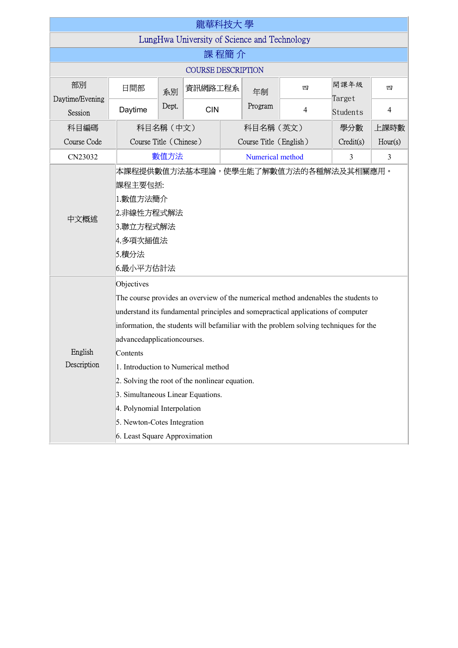| 龍華科技大 學                                      |                                                                                                                                                                                                                                                                                                                                                                                                                                                                                                                                                       |                        |            |         |                            |                |                |                |  |  |
|----------------------------------------------|-------------------------------------------------------------------------------------------------------------------------------------------------------------------------------------------------------------------------------------------------------------------------------------------------------------------------------------------------------------------------------------------------------------------------------------------------------------------------------------------------------------------------------------------------------|------------------------|------------|---------|----------------------------|----------------|----------------|----------------|--|--|
| LungHwa University of Science and Technology |                                                                                                                                                                                                                                                                                                                                                                                                                                                                                                                                                       |                        |            |         |                            |                |                |                |  |  |
| 課 程簡 介                                       |                                                                                                                                                                                                                                                                                                                                                                                                                                                                                                                                                       |                        |            |         |                            |                |                |                |  |  |
| <b>COURSE DESCRIPTION</b>                    |                                                                                                                                                                                                                                                                                                                                                                                                                                                                                                                                                       |                        |            |         |                            |                |                |                |  |  |
| 部別<br>Daytime/Evening                        | 日間部                                                                                                                                                                                                                                                                                                                                                                                                                                                                                                                                                   | 系別                     | 資訊網路工程系    |         | 年制                         | 四              | 開課年級<br>Target | 四              |  |  |
| Session                                      | Daytime                                                                                                                                                                                                                                                                                                                                                                                                                                                                                                                                               | Dept.                  | <b>CIN</b> | Program |                            | $\overline{4}$ | Students       | $\overline{4}$ |  |  |
| 科目編碼                                         |                                                                                                                                                                                                                                                                                                                                                                                                                                                                                                                                                       | 科目名稱(中文)               |            |         | 科目名稱(英文)                   |                |                | 上課時數           |  |  |
| Course Code                                  |                                                                                                                                                                                                                                                                                                                                                                                                                                                                                                                                                       | Course Title (Chinese) |            |         | Course Title (English)     |                |                | Hour(s)        |  |  |
| CN23032                                      |                                                                                                                                                                                                                                                                                                                                                                                                                                                                                                                                                       | 數值方法                   |            |         | Numerical method<br>3<br>3 |                |                |                |  |  |
| 中文概述                                         | 本課程提供數值方法基本理論,使學生能了解數值方法的各種解法及其相關應用。<br>課程主要包括:<br>1.數值方法簡介<br>2.非線性方程式解法<br>3.聯立方程式解法<br>4.多項次插值法<br> 5.積分法<br>6.最小平方估計法                                                                                                                                                                                                                                                                                                                                                                                                                             |                        |            |         |                            |                |                |                |  |  |
| English<br>Description                       | Objectives<br>The course provides an overview of the numerical method andenables the students to<br>understand its fundamental principles and somepractical applications of computer<br>information, the students will befamiliar with the problem solving techniques for the<br>advancedapplicationcourses.<br>Contents<br>1. Introduction to Numerical method<br>2. Solving the root of the nonlinear equation.<br>3. Simultaneous Linear Equations.<br>4. Polynomial Interpolation<br>5. Newton-Cotes Integration<br>6. Least Square Approximation |                        |            |         |                            |                |                |                |  |  |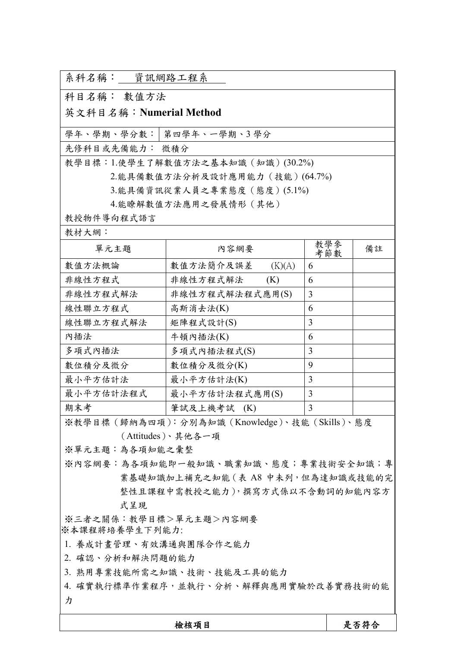| 3.能具備資訊從業人員之專業態度(態度)(5.1%)<br>4.能瞭解數值方法應用之發展情形(其他) |                                                 |            |      |  |  |  |  |
|----------------------------------------------------|-------------------------------------------------|------------|------|--|--|--|--|
| 教授物件導向程式語言                                         |                                                 |            |      |  |  |  |  |
| 教材大網:                                              |                                                 |            |      |  |  |  |  |
| 單元主題                                               | 內容網要                                            | 教學參<br>考節數 | 備註   |  |  |  |  |
| 數值方法概論                                             | 數值方法簡介及誤差<br>(K)(A)                             | 6          |      |  |  |  |  |
| 非線性方程式                                             | 非線性方程式解法<br>(K)                                 | 6          |      |  |  |  |  |
| 非線性方程式解法                                           | 非線性方程式解法程式應用(S)                                 | 3          |      |  |  |  |  |
| 線性聯立方程式                                            | 高斯消去法(K)                                        | 6          |      |  |  |  |  |
| 線性聯立方程式解法                                          | 矩陣程式設計(S)                                       | 3          |      |  |  |  |  |
| 內插法                                                | 牛頓內插法(K)                                        | 6          |      |  |  |  |  |
| 多項式內插法                                             | 多項式內插法程式(S)                                     | 3          |      |  |  |  |  |
| 數位積分及微分                                            | 數位積分及微分(K)                                      | 9          |      |  |  |  |  |
| 最小平方估計法                                            | 最小平方估計法(K)                                      | 3          |      |  |  |  |  |
| 最小平方估計法程式                                          | 最小平方估計法程式應用(S)                                  | 3          |      |  |  |  |  |
| 期末考                                                | 筆試及上機考試 (K)                                     | 3          |      |  |  |  |  |
|                                                    | ※教學目標 (歸納為四項): 分別為知識 (Knowledge)、技能 (Skills)、態度 |            |      |  |  |  |  |
| (Attitudes)、其他各一項                                  |                                                 |            |      |  |  |  |  |
| ※單元主題:為各項知能之彙整                                     |                                                 |            |      |  |  |  |  |
| ※內容網要:為各項知能即一般知識、職業知識、態度;專業技術安全知識;專                |                                                 |            |      |  |  |  |  |
| 業基礎知識加上補充之知能 (表 A8 中未列, 但為達知識或技能的完                 |                                                 |            |      |  |  |  |  |
|                                                    | 整性且課程中需教授之能力),撰寫方式係以不含動詞的知能內容方                  |            |      |  |  |  |  |
| 式呈現                                                |                                                 |            |      |  |  |  |  |
| ※三者之關係:教學目標>單元主題>內容網要<br>※本課程將培養學生下列能力:            |                                                 |            |      |  |  |  |  |
| 1. 養成計畫管理、有效溝通與團隊合作之能力                             |                                                 |            |      |  |  |  |  |
| 2. 確認、分析和解決問題的能力                                   |                                                 |            |      |  |  |  |  |
| 3. 熟用專業技能所需之知識、技術、技能及工具的能力                         |                                                 |            |      |  |  |  |  |
| 4. 確實執行標準作業程序,並執行、分析、解釋與應用實驗於改善實務技術的能              |                                                 |            |      |  |  |  |  |
| 力                                                  |                                                 |            |      |  |  |  |  |
|                                                    |                                                 |            |      |  |  |  |  |
|                                                    | 檢核項目                                            |            | 是否符合 |  |  |  |  |